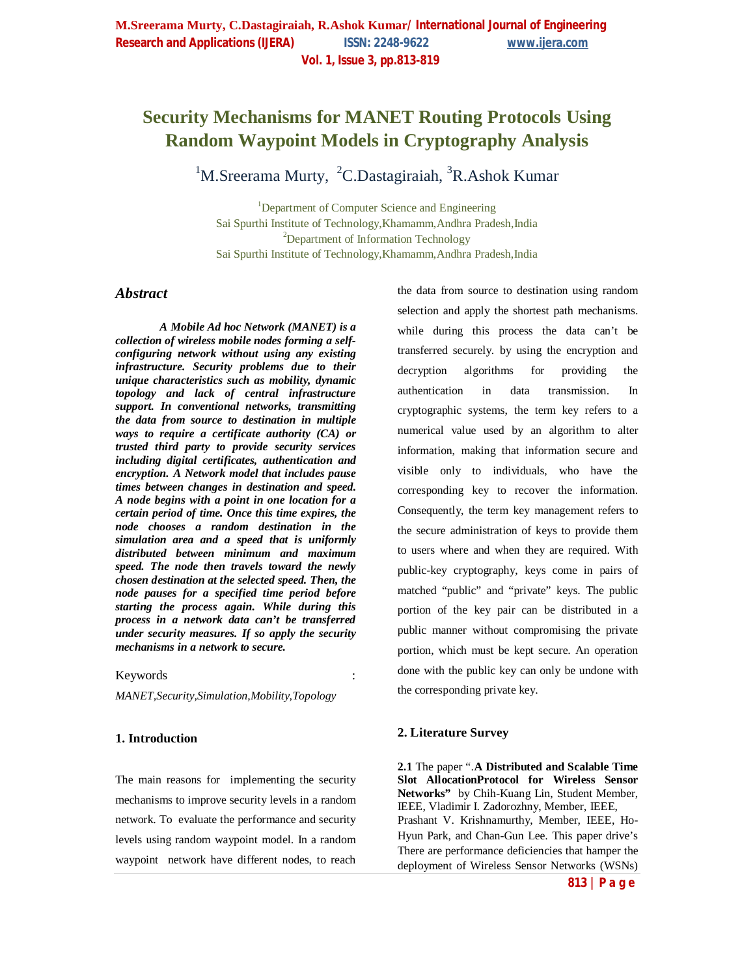# **Security Mechanisms for MANET Routing Protocols Using Random Waypoint Models in Cryptography Analysis**

 $1$ M.Sreerama Murty, <sup>2</sup>C.Dastagiraiah, <sup>3</sup>R.Ashok Kumar

<sup>1</sup>Department of Computer Science and Engineering Sai Spurthi Institute of Technology,Khamamm,Andhra Pradesh,India <sup>2</sup>Department of Information Technology Sai Spurthi Institute of Technology,Khamamm,Andhra Pradesh,India

# *Abstract*

*A Mobile Ad hoc Network (MANET) is a collection of wireless mobile nodes forming a selfconfiguring network without using any existing infrastructure. Security problems due to their unique characteristics such as mobility, dynamic topology and lack of central infrastructure support. In conventional networks, transmitting the data from source to destination in multiple ways to require a certificate authority (CA) or trusted third party to provide security services including digital certificates, authentication and encryption. A Network model that includes pause times between changes in destination and speed. A node begins with a point in one location for a certain period of time. Once this time expires, the node chooses a random destination in the simulation area and a speed that is uniformly distributed between minimum and maximum speed. The node then travels toward the newly chosen destination at the selected speed. Then, the node pauses for a specified time period before starting the process again. While during this process in a network data can't be transferred under security measures. If so apply the security mechanisms in a network to secure.*

#### **Keywords**

*MANET,Security,Simulation,Mobility,Topology*

## **1. Introduction**

The main reasons for implementing the security mechanisms to improve security levels in a random network. To evaluate the performance and security levels using random waypoint model. In a random waypoint network have different nodes, to reach

the data from source to destination using random selection and apply the shortest path mechanisms. while during this process the data can't be transferred securely. by using the encryption and decryption algorithms for providing the authentication in data transmission. In cryptographic systems, the term key refers to a numerical value used by an algorithm to alter information, making that information secure and visible only to individuals, who have the corresponding key to recover the information. Consequently, the term key management refers to the secure administration of keys to provide them to users where and when they are required. With public-key cryptography, keys come in pairs of matched "public" and "private" keys. The public portion of the key pair can be distributed in a public manner without compromising the private portion, which must be kept secure. An operation done with the public key can only be undone with the corresponding private key.

## **2. Literature Survey**

**2.1** The paper ".**A Distributed and Scalable Time Slot AllocationProtocol for Wireless Sensor Networks"** by Chih-Kuang Lin, Student Member, IEEE, Vladimir I. Zadorozhny, Member, IEEE, Prashant V. Krishnamurthy, Member, IEEE, Ho-Hyun Park, and Chan-Gun Lee. This paper drive's There are performance deficiencies that hamper the deployment of Wireless Sensor Networks (WSNs)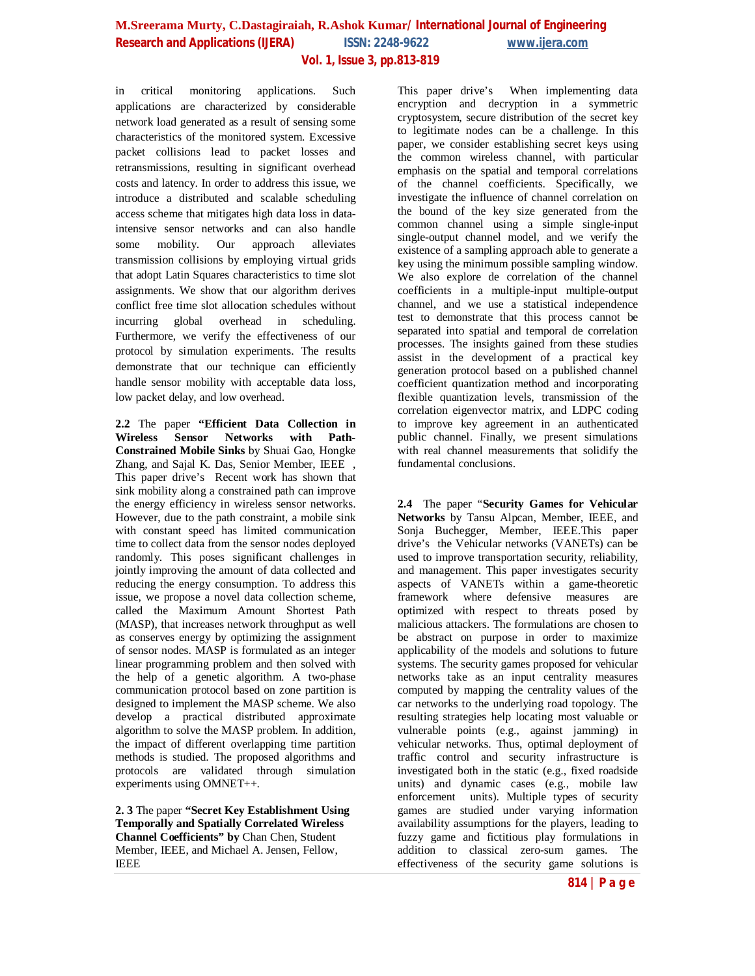in critical monitoring applications. Such applications are characterized by considerable network load generated as a result of sensing some characteristics of the monitored system. Excessive packet collisions lead to packet losses and retransmissions, resulting in significant overhead costs and latency. In order to address this issue, we introduce a distributed and scalable scheduling access scheme that mitigates high data loss in dataintensive sensor networks and can also handle some mobility. Our approach alleviates transmission collisions by employing virtual grids that adopt Latin Squares characteristics to time slot assignments. We show that our algorithm derives conflict free time slot allocation schedules without incurring global overhead in scheduling. Furthermore, we verify the effectiveness of our protocol by simulation experiments. The results demonstrate that our technique can efficiently handle sensor mobility with acceptable data loss, low packet delay, and low overhead.

**2.2** The paper **"Efficient Data Collection in**  Wireless Sensor Networks **Constrained Mobile Sinks** by Shuai Gao, Hongke Zhang, and Sajal K. Das, Senior Member, IEEE , This paper drive's Recent work has shown that sink mobility along a constrained path can improve the energy efficiency in wireless sensor networks. However, due to the path constraint, a mobile sink with constant speed has limited communication time to collect data from the sensor nodes deployed randomly. This poses significant challenges in jointly improving the amount of data collected and reducing the energy consumption. To address this issue, we propose a novel data collection scheme, called the Maximum Amount Shortest Path (MASP), that increases network throughput as well as conserves energy by optimizing the assignment of sensor nodes. MASP is formulated as an integer linear programming problem and then solved with the help of a genetic algorithm. A two-phase communication protocol based on zone partition is designed to implement the MASP scheme. We also develop a practical distributed approximate algorithm to solve the MASP problem. In addition, the impact of different overlapping time partition methods is studied. The proposed algorithms and protocols are validated through simulation experiments using OMNET++.

**2. 3** The paper **"Secret Key Establishment Using Temporally and Spatially Correlated Wireless Channel Coefficients" by** Chan Chen, Student Member, IEEE, and Michael A. Jensen, Fellow, IEEE

This paper drive's When implementing data encryption and decryption in a symmetric cryptosystem, secure distribution of the secret key to legitimate nodes can be a challenge. In this paper, we consider establishing secret keys using the common wireless channel, with particular emphasis on the spatial and temporal correlations of the channel coefficients. Specifically, we investigate the influence of channel correlation on the bound of the key size generated from the common channel using a simple single-input single-output channel model, and we verify the existence of a sampling approach able to generate a key using the minimum possible sampling window. We also explore de correlation of the channel coefficients in a multiple-input multiple-output channel, and we use a statistical independence test to demonstrate that this process cannot be separated into spatial and temporal de correlation processes. The insights gained from these studies assist in the development of a practical key generation protocol based on a published channel coefficient quantization method and incorporating flexible quantization levels, transmission of the correlation eigenvector matrix, and LDPC coding to improve key agreement in an authenticated public channel. Finally, we present simulations with real channel measurements that solidify the fundamental conclusions.

**2.4** The paper "**Security Games for Vehicular Networks** by Tansu Alpcan, Member, IEEE, and Sonja Buchegger, Member, IEEE.This paper drive's the Vehicular networks (VANETs) can be used to improve transportation security, reliability, and management. This paper investigates security aspects of VANETs within a game-theoretic framework where defensive measures are optimized with respect to threats posed by malicious attackers. The formulations are chosen to be abstract on purpose in order to maximize applicability of the models and solutions to future systems. The security games proposed for vehicular networks take as an input centrality measures computed by mapping the centrality values of the car networks to the underlying road topology. The resulting strategies help locating most valuable or vulnerable points (e.g., against jamming) in vehicular networks. Thus, optimal deployment of traffic control and security infrastructure is investigated both in the static (e.g., fixed roadside units) and dynamic cases (e.g., mobile law enforcement units). Multiple types of security games are studied under varying information availability assumptions for the players, leading to fuzzy game and fictitious play formulations in addition to classical zero-sum games. The effectiveness of the security game solutions is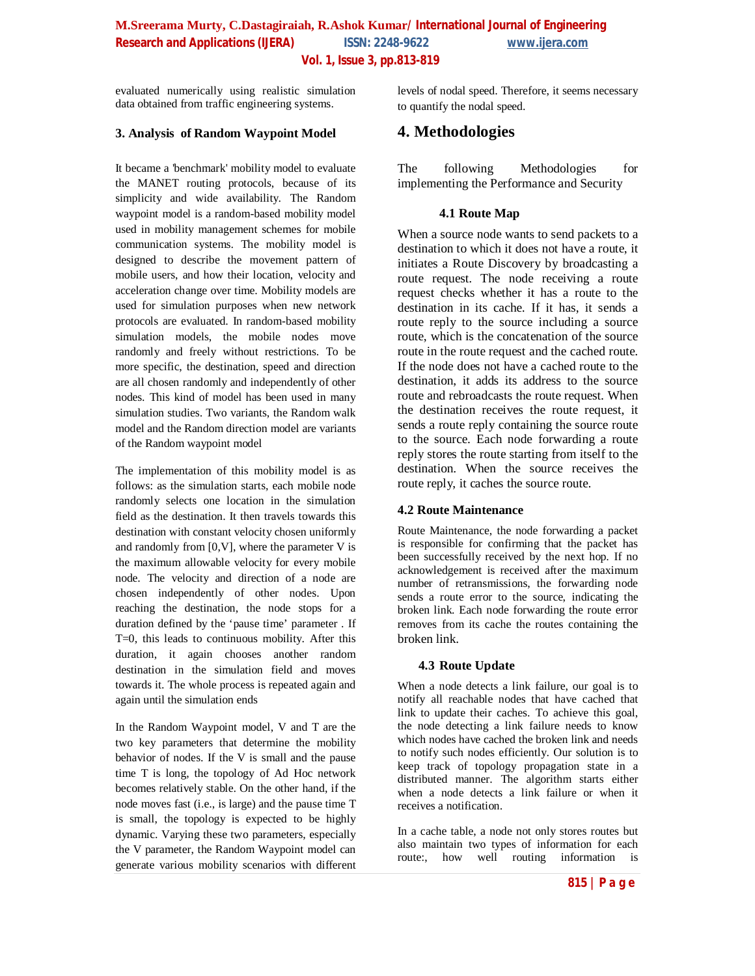# **M.Sreerama Murty, C.Dastagiraiah, R.Ashok Kumar/ International Journal of Engineering Research and Applications (IJERA) ISSN: 2248-9622 www.ijera.com Vol. 1, Issue 3, pp.813-819**

evaluated numerically using realistic simulation data obtained from traffic engineering systems.

## **3. Analysis of Random Waypoint Model**

It became a 'benchmark' mobility model to evaluate the MANET routing protocols, because of its simplicity and wide availability. The Random waypoint model is a random-based mobility model used in mobility management schemes for mobile communication systems. The mobility model is designed to describe the movement pattern of mobile users, and how their location, velocity and acceleration change over time. Mobility models are used for simulation purposes when new network protocols are evaluated. In random-based mobility simulation models, the mobile nodes move randomly and freely without restrictions. To be more specific, the destination, speed and direction are all chosen randomly and independently of other nodes. This kind of model has been used in many simulation studies. Two variants, the Random walk model and the Random direction model are variants of the Random waypoint model

The implementation of this mobility model is as follows: as the simulation starts, each mobile node randomly selects one location in the simulation field as the destination. It then travels towards this destination with constant velocity chosen uniformly and randomly from  $[0, V]$ , where the parameter V is the maximum allowable velocity for every mobile node. The velocity and direction of a node are chosen independently of other nodes. Upon reaching the destination, the node stops for a duration defined by the 'pause time' parameter . If T=0, this leads to continuous mobility. After this duration, it again chooses another random destination in the simulation field and moves towards it. The whole process is repeated again and again until the simulation ends

In the Random Waypoint model, V and T are the two key parameters that determine the mobility behavior of nodes. If the V is small and the pause time T is long, the topology of Ad Hoc network becomes relatively stable. On the other hand, if the node moves fast (i.e., is large) and the pause time T is small, the topology is expected to be highly dynamic. Varying these two parameters, especially the V parameter, the Random Waypoint model can generate various mobility scenarios with different levels of nodal speed. Therefore, it seems necessary to quantify the nodal speed.

# **4. Methodologies**

The following Methodologies for implementing the Performance and Security

#### **4.1 Route Map**

When a source node wants to send packets to a destination to which it does not have a route, it initiates a Route Discovery by broadcasting a route request. The node receiving a route request checks whether it has a route to the destination in its cache. If it has, it sends a route reply to the source including a source route, which is the concatenation of the source route in the route request and the cached route. If the node does not have a cached route to the destination, it adds its address to the source route and rebroadcasts the route request. When the destination receives the route request, it sends a route reply containing the source route to the source. Each node forwarding a route reply stores the route starting from itself to the destination. When the source receives the route reply, it caches the source route.

#### **4.2 Route Maintenance**

Route Maintenance, the node forwarding a packet is responsible for confirming that the packet has been successfully received by the next hop. If no acknowledgement is received after the maximum number of retransmissions, the forwarding node sends a route error to the source, indicating the broken link. Each node forwarding the route error removes from its cache the routes containing the broken link.

#### **4.3 Route Update**

When a node detects a link failure, our goal is to notify all reachable nodes that have cached that link to update their caches. To achieve this goal, the node detecting a link failure needs to know which nodes have cached the broken link and needs to notify such nodes efficiently. Our solution is to keep track of topology propagation state in a distributed manner. The algorithm starts either when a node detects a link failure or when it receives a notification.

In a cache table, a node not only stores routes but also maintain two types of information for each route:, how well routing information is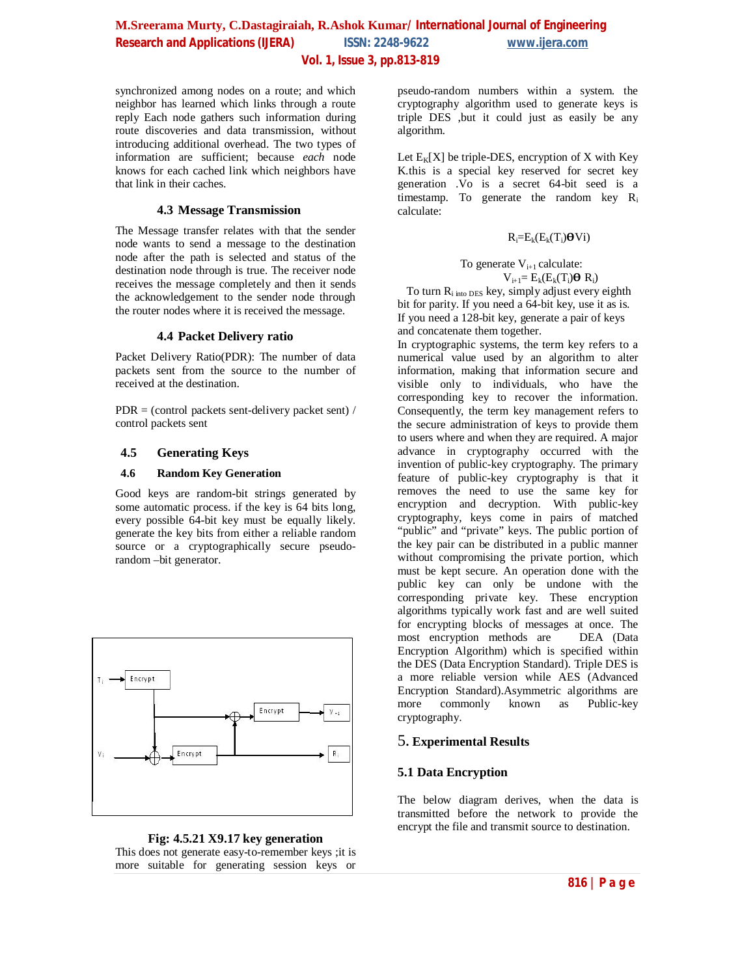# **M.Sreerama Murty, C.Dastagiraiah, R.Ashok Kumar/ International Journal of Engineering Research and Applications (IJERA) ISSN: 2248-9622 www.ijera.com Vol. 1, Issue 3, pp.813-819**

synchronized among nodes on a route; and which neighbor has learned which links through a route reply Each node gathers such information during route discoveries and data transmission, without introducing additional overhead. The two types of information are sufficient; because *each* node knows for each cached link which neighbors have that link in their caches.

## **4.3 Message Transmission**

The Message transfer relates with that the sender node wants to send a message to the destination node after the path is selected and status of the destination node through is true. The receiver node receives the message completely and then it sends the acknowledgement to the sender node through the router nodes where it is received the message.

#### **4.4 Packet Delivery ratio**

Packet Delivery Ratio(PDR): The number of data packets sent from the source to the number of received at the destination.

 $PDR = (control packets sent-deliverv packet sent) /$ control packets sent

## **4.5 Generating Keys**

#### **4.6 Random Key Generation**

Good keys are random-bit strings generated by some automatic process. if the key is 64 bits long, every possible 64-bit key must be equally likely. generate the key bits from either a reliable random source or a cryptographically secure pseudorandom –bit generator.





pseudo-random numbers within a system. the cryptography algorithm used to generate keys is triple DES ,but it could just as easily be any algorithm.

Let  $E_K[X]$  be triple-DES, encryption of X with Key K.this is a special key reserved for secret key generation .Vo is a secret 64-bit seed is a timestamp. To generate the random key R<sup>i</sup> calculate:

# $R_i=E_k(E_k(T_i)\boldsymbol{\Theta}V_i)$

To generate  $V_{i+1}$  calculate:  $V_{i+1} = E_k(E_k(T_i)\boldsymbol{\Theta} R_i)$ 

To turn  $R_{i \text{ into DES}}$  key, simply adjust every eighth bit for parity. If you need a 64-bit key, use it as is. If you need a 128-bit key, generate a pair of keys and concatenate them together.

In cryptographic systems, the term key refers to a numerical value used by an algorithm to alter information, making that information secure and visible only to individuals, who have the corresponding key to recover the information. Consequently, the term key management refers to the secure administration of keys to provide them to users where and when they are required. A major advance in cryptography occurred with the invention of public-key cryptography. The primary feature of public-key cryptography is that it removes the need to use the same key for encryption and decryption. With public-key cryptography, keys come in pairs of matched "public" and "private" keys. The public portion of the key pair can be distributed in a public manner without compromising the private portion, which must be kept secure. An operation done with the public key can only be undone with the corresponding private key. These encryption algorithms typically work fast and are well suited for encrypting blocks of messages at once. The most encryption methods are DEA (Data Encryption Algorithm) which is specified within the DES (Data Encryption Standard). Triple DES is a more reliable version while AES (Advanced Encryption Standard).Asymmetric algorithms are<br>more commonly known as Public-key commonly known as Public-key cryptography.

# 5**. Experimental Results**

# **5.1 Data Encryption**

The below diagram derives, when the data is transmitted before the network to provide the encrypt the file and transmit source to destination.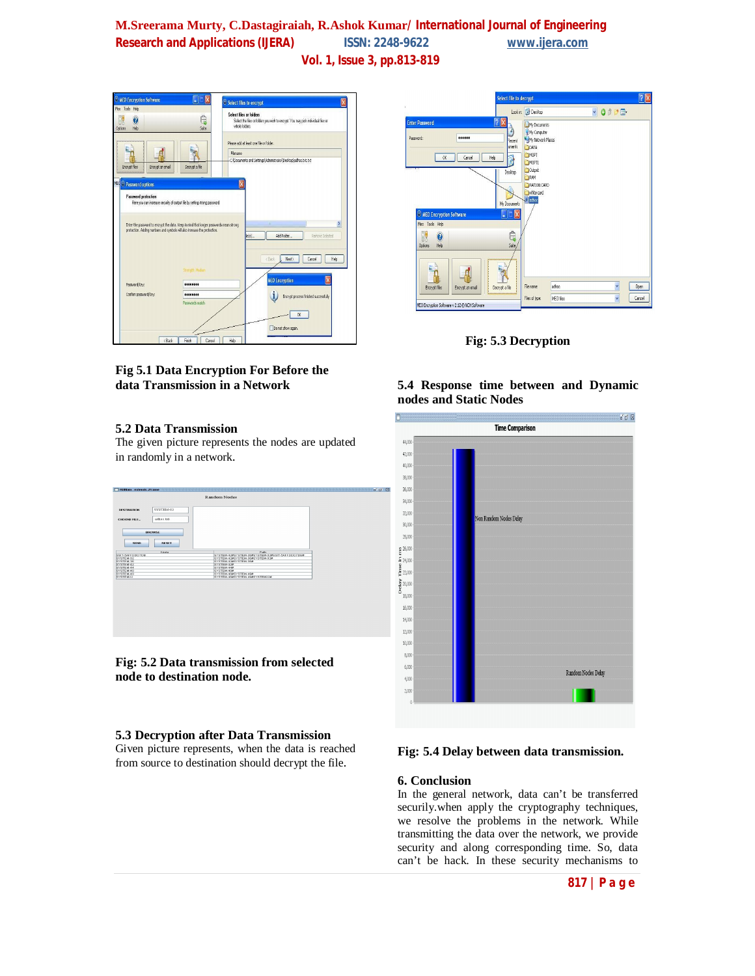# **M.Sreerama Murty, C.Dastagiraiah, R.Ashok Kumar/ International Journal of Engineering Research and Applications (IJERA) ISSN: 2248-9622 www.ijera.com Vol. 1, Issue 3, pp.813-819**



# **Fig 5.1 Data Encryption For Before the data Transmission in a Network**

# **5.2 Data Transmission**

The given picture represents the nodes are updated in randomly in a network.



**Fig: 5.2 Data transmission from selected node to destination node.**

# **5.3 Decryption after Data Transmission**

Given picture represents, when the data is reached from source to destination should decrypt the file.



**Fig: 5.3 Decryption**

# **5.4 Response time between and Dynamic nodes and Static Nodes**



# **Fig: 5.4 Delay between data transmission.**

#### **6. Conclusion**

In the general network, data can't be transferred securily.when apply the cryptography techniques, we resolve the problems in the network. While transmitting the data over the network, we provide security and along corresponding time. So, data can't be hack. In these security mechanisms to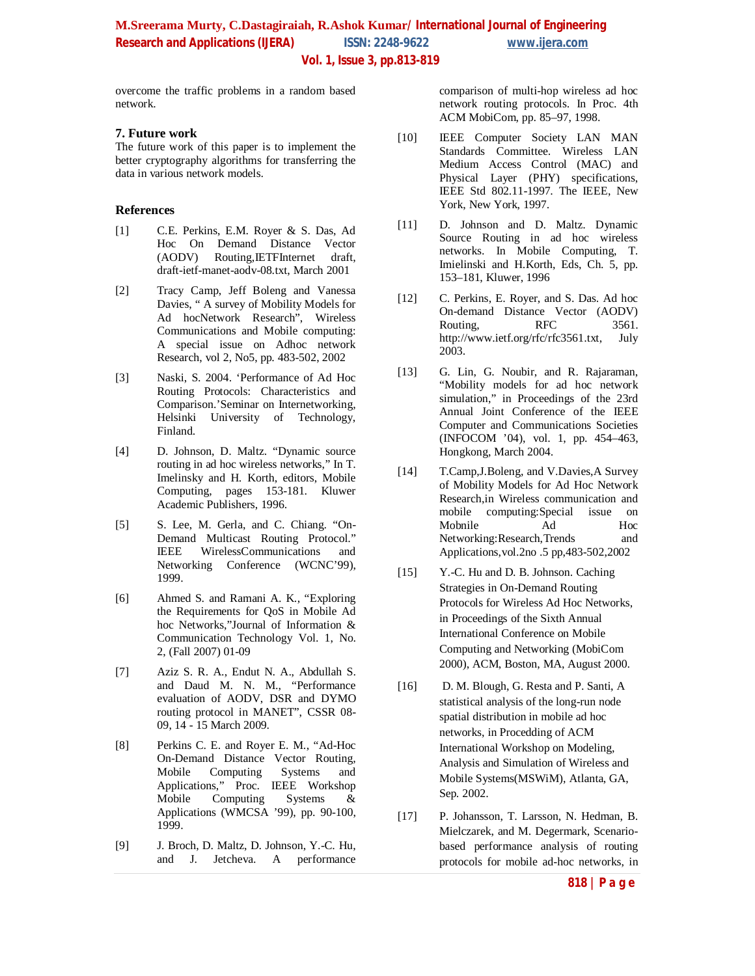# **M.Sreerama Murty, C.Dastagiraiah, R.Ashok Kumar/ International Journal of Engineering Research and Applications (UERA)** ISSN: 2248-9622 www.ijera.com  **Vol. 1, Issue 3, pp.813-819**

overcome the traffic problems in a random based network.

#### **7. Future work**

The future work of this paper is to implement the better cryptography algorithms for transferring the data in various network models.

## **References**

- [1] C.E. Perkins, E.M. Royer & S. Das, Ad Hoc On Demand Distance Vector<br>(AODV) Routing, IETFInternet draft, Routing, IETFInternet draft, draft-ietf-manet-aodv-08.txt, March 2001
- [2] Tracy Camp, Jeff Boleng and Vanessa Davies, " A survey of Mobility Models for Ad hocNetwork Research", Wireless Communications and Mobile computing: A special issue on Adhoc network Research, vol 2, No5, pp. 483-502, 2002
- [3] Naski, S. 2004. 'Performance of Ad Hoc Routing Protocols: Characteristics and Comparison.'Seminar on Internetworking, Helsinki University of Technology, Finland.
- [4] D. Johnson, D. Maltz. "Dynamic source routing in ad hoc wireless networks," In T. Imelinsky and H. Korth, editors, Mobile Computing, pages 153-181. Kluwer Academic Publishers, 1996.
- [5] S. Lee, M. Gerla, and C. Chiang. "On-Demand Multicast Routing Protocol."<br>IEEE WirelessCommunications and WirelessCommunications and Networking Conference (WCNC'99), 1999.
- [6] Ahmed S. and Ramani A. K., "Exploring the Requirements for QoS in Mobile Ad hoc Networks,"Journal of Information & Communication Technology Vol. 1, No. 2, (Fall 2007) 01-09
- [7] Aziz S. R. A., Endut N. A., Abdullah S. and Daud M. N. M., "Performance evaluation of AODV, DSR and DYMO routing protocol in MANET", CSSR 08- 09, 14 - 15 March 2009.
- [8] Perkins C. E. and Royer E. M., "Ad-Hoc On-Demand Distance Vector Routing, Mobile Computing Systems and Applications," Proc. IEEE Workshop<br>Mobile Computing Systems & Computing Systems  $\&$ Applications (WMCSA '99), pp. 90-100, 1999.
- [9] J. Broch, D. Maltz, D. Johnson, Y.-C. Hu, and J. Jetcheva. A performance

comparison of multi-hop wireless ad hoc network routing protocols. In Proc. 4th ACM MobiCom, pp. 85–97, 1998.

- [10] IEEE Computer Society LAN MAN Standards Committee. Wireless LAN Medium Access Control (MAC) and Physical Layer (PHY) specifications, IEEE Std 802.11-1997. The IEEE, New York, New York, 1997.
- [11] D. Johnson and D. Maltz. Dynamic Source Routing in ad hoc wireless networks. In Mobile Computing, T. Imielinski and H.Korth, Eds, Ch. 5, pp. 153–181, Kluwer, 1996
- [12] C. Perkins, E. Royer, and S. Das. Ad hoc On-demand Distance Vector (AODV) Routing, RFC 3561. http://www.ietf.org/rfc/rfc3561.txt, July 2003.
- [13] G. Lin, G. Noubir, and R. Rajaraman, "Mobility models for ad hoc network simulation," in Proceedings of the 23rd Annual Joint Conference of the IEEE Computer and Communications Societies (INFOCOM '04), vol. 1, pp. 454–463, Hongkong, March 2004.
- [14] T.Camp,J.Boleng, and V.Davies,A Survey of Mobility Models for Ad Hoc Network Research,in Wireless communication and mobile computing:Special issue on<br>Mobile Ad Hoc Mobnile Ad Networking:Research,Trends and Applications,vol.2no .5 pp,483-502,2002
- [15] Y.-C. Hu and D. B. Johnson. Caching Strategies in On-Demand Routing Protocols for Wireless Ad Hoc Networks, in Proceedings of the Sixth Annual International Conference on Mobile Computing and Networking (MobiCom 2000), ACM, Boston, MA, August 2000.
- [16] D. M. Blough, G. Resta and P. Santi, A statistical analysis of the long-run node spatial distribution in mobile ad hoc networks, in Procedding of ACM International Workshop on Modeling, Analysis and Simulation of Wireless and Mobile Systems(MSWiM), Atlanta, GA, Sep. 2002.
- [17] P. Johansson, T. Larsson, N. Hedman, B. Mielczarek, and M. Degermark, Scenariobased performance analysis of routing protocols for mobile ad-hoc networks, in